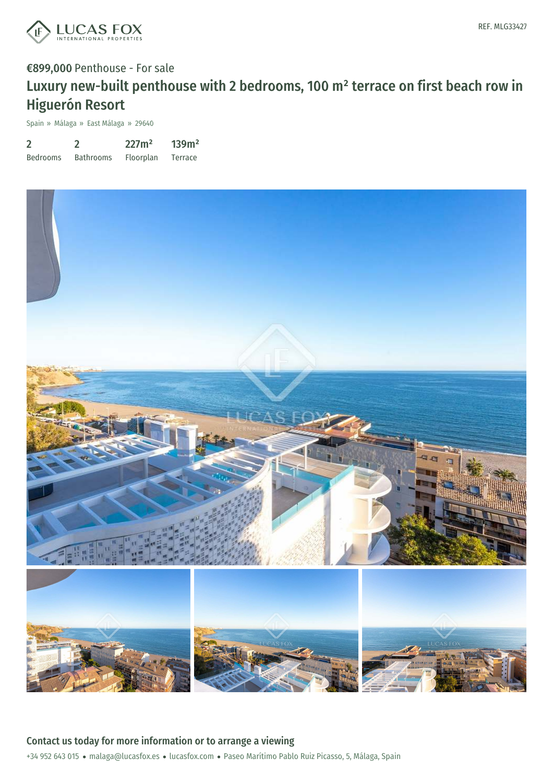

Spain » Málaga » East Málaga » 29640

| $\overline{2}$  |                  | 227m <sup>2</sup> | 139m <sup>2</sup> |
|-----------------|------------------|-------------------|-------------------|
| <b>Bedrooms</b> | <b>Bathrooms</b> | Floorplan         | <b>Terrace</b>    |

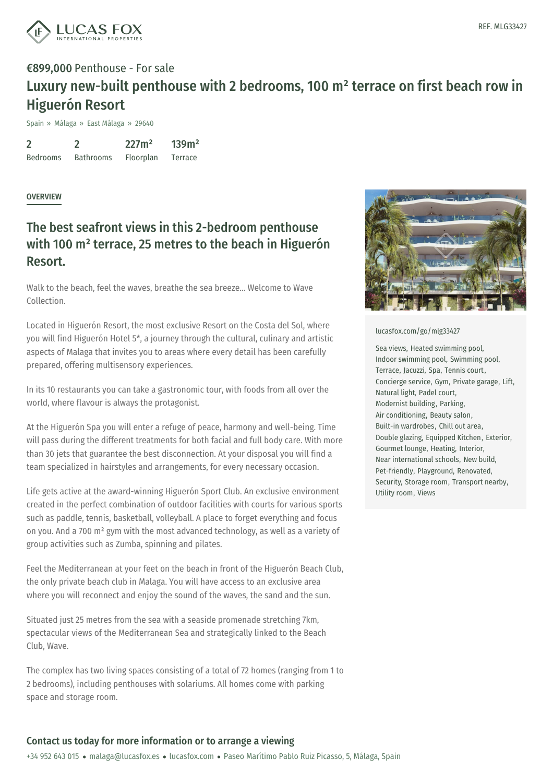

Spain » Málaga » East Málaga » 29640

2 Bedrooms  $\mathfrak{D}$ Bathrooms 227m² Floorplan 139m² Terrace

### **OVERVIEW**

### The best seafront views in this 2-bedroom penthouse with 100 m² terrace, 25 metres to the beach in Higuerón Resort.

Walk to the beach, feel the waves, breathe the sea breeze... Welcome to Wave Collection.

Located in Higuerón Resort, the most exclusive Resort on the Costa del Sol, where you will find Higuerón Hotel 5\*, a journey through the cultural, culinary and artistic aspects of Malaga that invites you to areas where every detail has been carefully prepared, offering multisensory experiences.

In its 10 restaurants you can take a gastronomic tour, with foods from all over the world, where flavour is always the protagonist.

At the Higuerón Spa you will enter a refuge of peace, harmony and well-being. Time will pass during the different treatments for both facial and full body care. With more than 30 jets that guarantee the best disconnection. At your disposal you will find a team specialized in hairstyles and arrangements, for every necessary occasion.

Life gets active at the award-winning Higuerón Sport Club. An exclusive environment created in the perfect combination of outdoor facilities with courts for various sports such as paddle, tennis, basketball, volleyball. A place to forget everything and focus on you. And a 700 m² gym with the most advanced technology, as well as a variety of group activities such as Zumba, spinning and pilates.

Feel the Mediter[ranean](mailto:malaga@lucasfox.es) at your feet on the [beach](https://www.lucasfox.com) in front of the Higuerón Beach Club, the only private beach club in Malaga. You will have access to an exclusive area where you will reconnect and enjoy the sound of the waves, the sand and the sun.

Situated just 25 metres from the sea with a seaside promenade stretching 7km, spectacular views of the Mediterranean Sea and strategically linked to the Beach Club, Wave.

The complex has two living spaces consisting of a total of 72 homes (ranging from 1 to 2 bedrooms), including penthouses with solariums. All homes come with parking space and storage room.



#### [lucasfox.com/go/mlg33427](https://www.lucasfox.com/go/mlg33427)

Sea views, Heated swimming pool, Indoor swimming pool, Swimming pool, Terrace, Jacuzzi, Spa, Tennis court, Concierge service, Gym, Private garage, Lift, Natural light, Padel court, Modernist building, Parking, Air conditioning, Beauty salon, Built-in wardrobes, Chill out area, Double glazing, Equipped Kitchen, Exterior, Gourmet lounge, Heating, Interior, Near international schools, New build, Pet-friendly, Playground, Renovated, Security, Storage room, Transport nearby, Utility room, Views

### Contact us today for more information or to arrange a viewing

+34 952 643 015 · malaga@lucasfox.es · lucasfox.com · Paseo Marítimo Pablo Ruiz Picasso, 5, Málaga, Spain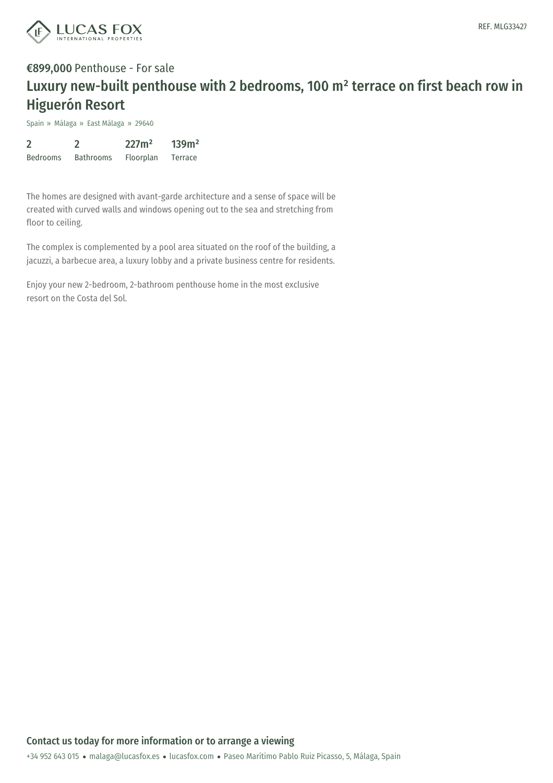

Spain » Málaga » East Málaga » 29640

| $\overline{2}$  |                  | 227m <sup>2</sup> | 139m <sup>2</sup> |
|-----------------|------------------|-------------------|-------------------|
| <b>Bedrooms</b> | <b>Bathrooms</b> | Floorplan         | <b>Terrace</b>    |

The homes are designed with avant-garde architecture and a sense of space will be created with curved walls and windows opening out to the sea and stretching from floor to ceiling.

The complex is complemented by a pool area situated on the roof of the building, a jacuzzi, a barbecue area, a luxury lobby and a private business centre for residents.

Enjoy your new 2-bedroom, 2-bathroom penthouse home in the most exclusive resort on the Costa del Sol.